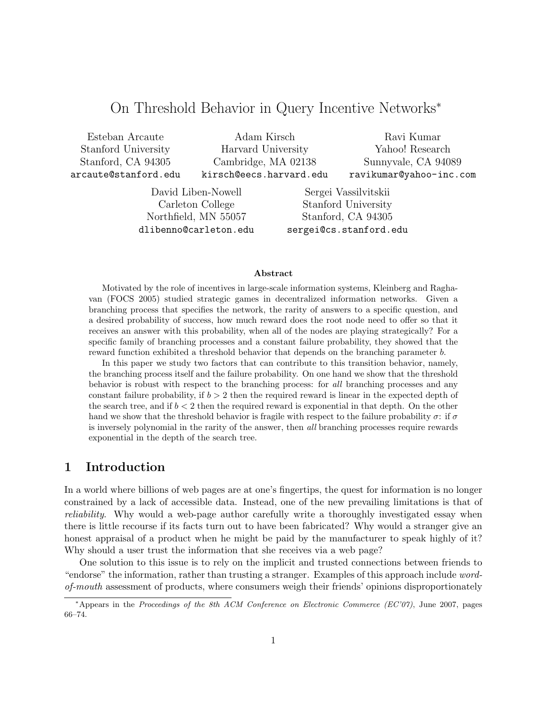# On Threshold Behavior in Query Incentive Networks<sup>∗</sup>

Esteban Arcaute Stanford University Stanford, CA 94305 arcaute@stanford.edu Adam Kirsch Harvard University Cambridge, MA 02138 kirsch@eecs.harvard.edu Ravi Kumar Yahoo! Research Sunnyvale, CA 94089 ravikumar@yahoo-inc.com

> David Liben-Nowell Carleton College Northfield, MN 55057 dlibenno@carleton.edu

Sergei Vassilvitskii Stanford University Stanford, CA 94305 sergei@cs.stanford.edu

#### Abstract

Motivated by the role of incentives in large-scale information systems, Kleinberg and Raghavan (FOCS 2005) studied strategic games in decentralized information networks. Given a branching process that specifies the network, the rarity of answers to a specific question, and a desired probability of success, how much reward does the root node need to offer so that it receives an answer with this probability, when all of the nodes are playing strategically? For a specific family of branching processes and a constant failure probability, they showed that the reward function exhibited a threshold behavior that depends on the branching parameter b.

In this paper we study two factors that can contribute to this transition behavior, namely, the branching process itself and the failure probability. On one hand we show that the threshold behavior is robust with respect to the branching process: for all branching processes and any constant failure probability, if  $b > 2$  then the required reward is linear in the expected depth of the search tree, and if  $b < 2$  then the required reward is exponential in that depth. On the other hand we show that the threshold behavior is fragile with respect to the failure probability  $\sigma$ : if  $\sigma$ is inversely polynomial in the rarity of the answer, then *all* branching processes require rewards exponential in the depth of the search tree.

#### 1 Introduction

In a world where billions of web pages are at one's fingertips, the quest for information is no longer constrained by a lack of accessible data. Instead, one of the new prevailing limitations is that of reliability. Why would a web-page author carefully write a thoroughly investigated essay when there is little recourse if its facts turn out to have been fabricated? Why would a stranger give an honest appraisal of a product when he might be paid by the manufacturer to speak highly of it? Why should a user trust the information that she receives via a web page?

One solution to this issue is to rely on the implicit and trusted connections between friends to "endorse" the information, rather than trusting a stranger. Examples of this approach include wordof-mouth assessment of products, where consumers weigh their friends' opinions disproportionately

<sup>∗</sup>Appears in the Proceedings of the 8th ACM Conference on Electronic Commerce (EC'07), June 2007, pages 66–74.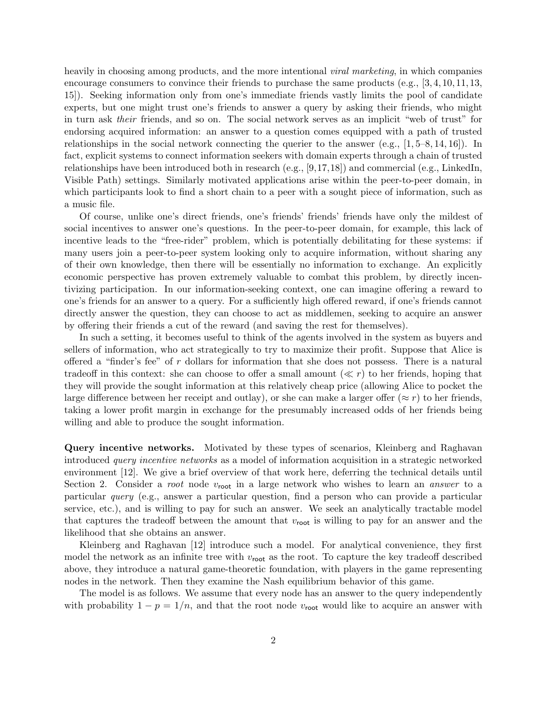heavily in choosing among products, and the more intentional *viral marketing*, in which companies encourage consumers to convince their friends to purchase the same products (e.g., [3, 4, 10, 11, 13, 15]). Seeking information only from one's immediate friends vastly limits the pool of candidate experts, but one might trust one's friends to answer a query by asking their friends, who might in turn ask their friends, and so on. The social network serves as an implicit "web of trust" for endorsing acquired information: an answer to a question comes equipped with a path of trusted relationships in the social network connecting the querier to the answer (e.g.,  $[1, 5-8, 14, 16]$ ). In fact, explicit systems to connect information seekers with domain experts through a chain of trusted relationships have been introduced both in research (e.g., [9,17,18]) and commercial (e.g., LinkedIn, Visible Path) settings. Similarly motivated applications arise within the peer-to-peer domain, in which participants look to find a short chain to a peer with a sought piece of information, such as a music file.

Of course, unlike one's direct friends, one's friends' friends' friends have only the mildest of social incentives to answer one's questions. In the peer-to-peer domain, for example, this lack of incentive leads to the "free-rider" problem, which is potentially debilitating for these systems: if many users join a peer-to-peer system looking only to acquire information, without sharing any of their own knowledge, then there will be essentially no information to exchange. An explicitly economic perspective has proven extremely valuable to combat this problem, by directly incentivizing participation. In our information-seeking context, one can imagine offering a reward to one's friends for an answer to a query. For a sufficiently high offered reward, if one's friends cannot directly answer the question, they can choose to act as middlemen, seeking to acquire an answer by offering their friends a cut of the reward (and saving the rest for themselves).

In such a setting, it becomes useful to think of the agents involved in the system as buyers and sellers of information, who act strategically to try to maximize their profit. Suppose that Alice is offered a "finder's fee" of  $r$  dollars for information that she does not possess. There is a natural tradeoff in this context: she can choose to offer a small amount  $(\ll r)$  to her friends, hoping that they will provide the sought information at this relatively cheap price (allowing Alice to pocket the large difference between her receipt and outlay), or she can make a larger offer ( $\approx r$ ) to her friends, taking a lower profit margin in exchange for the presumably increased odds of her friends being willing and able to produce the sought information.

Query incentive networks. Motivated by these types of scenarios, Kleinberg and Raghavan introduced query incentive networks as a model of information acquisition in a strategic networked environment [12]. We give a brief overview of that work here, deferring the technical details until Section 2. Consider a *root* node  $v_{\text{root}}$  in a large network who wishes to learn an *answer* to a particular query (e.g., answer a particular question, find a person who can provide a particular service, etc.), and is willing to pay for such an answer. We seek an analytically tractable model that captures the tradeoff between the amount that  $v_{\text{root}}$  is willing to pay for an answer and the likelihood that she obtains an answer.

Kleinberg and Raghavan [12] introduce such a model. For analytical convenience, they first model the network as an infinite tree with  $v_{\text{root}}$  as the root. To capture the key tradeoff described above, they introduce a natural game-theoretic foundation, with players in the game representing nodes in the network. Then they examine the Nash equilibrium behavior of this game.

The model is as follows. We assume that every node has an answer to the query independently with probability  $1 - p = 1/n$ , and that the root node  $v_{\text{root}}$  would like to acquire an answer with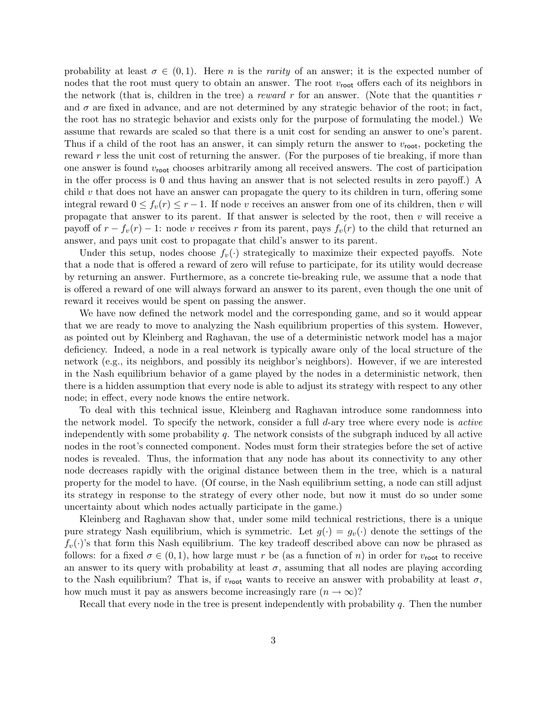probability at least  $\sigma \in (0,1)$ . Here *n* is the *rarity* of an answer; it is the expected number of nodes that the root must query to obtain an answer. The root  $v_{\text{root}}$  offers each of its neighbors in the network (that is, children in the tree) a reward r for an answer. (Note that the quantities  $r$ and  $\sigma$  are fixed in advance, and are not determined by any strategic behavior of the root; in fact, the root has no strategic behavior and exists only for the purpose of formulating the model.) We assume that rewards are scaled so that there is a unit cost for sending an answer to one's parent. Thus if a child of the root has an answer, it can simply return the answer to  $v_{\text{root}}$ , pocketing the reward r less the unit cost of returning the answer. (For the purposes of tie breaking, if more than one answer is found  $v_{\text{root}}$  chooses arbitrarily among all received answers. The cost of participation in the offer process is 0 and thus having an answer that is not selected results in zero payoff.) A child v that does not have an answer can propagate the query to its children in turn, offering some integral reward  $0 \leq f_v(r) \leq r-1$ . If node v receives an answer from one of its children, then v will propagate that answer to its parent. If that answer is selected by the root, then  $v$  will receive a payoff of  $r - f_v(r) - 1$ : node v receives r from its parent, pays  $f_v(r)$  to the child that returned an answer, and pays unit cost to propagate that child's answer to its parent.

Under this setup, nodes choose  $f_v(\cdot)$  strategically to maximize their expected payoffs. Note that a node that is offered a reward of zero will refuse to participate, for its utility would decrease by returning an answer. Furthermore, as a concrete tie-breaking rule, we assume that a node that is offered a reward of one will always forward an answer to its parent, even though the one unit of reward it receives would be spent on passing the answer.

We have now defined the network model and the corresponding game, and so it would appear that we are ready to move to analyzing the Nash equilibrium properties of this system. However, as pointed out by Kleinberg and Raghavan, the use of a deterministic network model has a major deficiency. Indeed, a node in a real network is typically aware only of the local structure of the network (e.g., its neighbors, and possibly its neighbor's neighbors). However, if we are interested in the Nash equilibrium behavior of a game played by the nodes in a deterministic network, then there is a hidden assumption that every node is able to adjust its strategy with respect to any other node; in effect, every node knows the entire network.

To deal with this technical issue, Kleinberg and Raghavan introduce some randomness into the network model. To specify the network, consider a full  $d$ -ary tree where every node is *active* independently with some probability  $q$ . The network consists of the subgraph induced by all active nodes in the root's connected component. Nodes must form their strategies before the set of active nodes is revealed. Thus, the information that any node has about its connectivity to any other node decreases rapidly with the original distance between them in the tree, which is a natural property for the model to have. (Of course, in the Nash equilibrium setting, a node can still adjust its strategy in response to the strategy of every other node, but now it must do so under some uncertainty about which nodes actually participate in the game.)

Kleinberg and Raghavan show that, under some mild technical restrictions, there is a unique pure strategy Nash equilibrium, which is symmetric. Let  $g(\cdot) = g_{\nu}(\cdot)$  denote the settings of the  $f_v(\cdot)$ 's that form this Nash equilibrium. The key tradeoff described above can now be phrased as follows: for a fixed  $\sigma \in (0,1)$ , how large must r be (as a function of n) in order for  $v_{\text{root}}$  to receive an answer to its query with probability at least  $\sigma$ , assuming that all nodes are playing according to the Nash equilibrium? That is, if  $v_{\text{root}}$  wants to receive an answer with probability at least  $\sigma$ , how much must it pay as answers become increasingly rare  $(n \to \infty)$ ?

Recall that every node in the tree is present independently with probability  $q$ . Then the number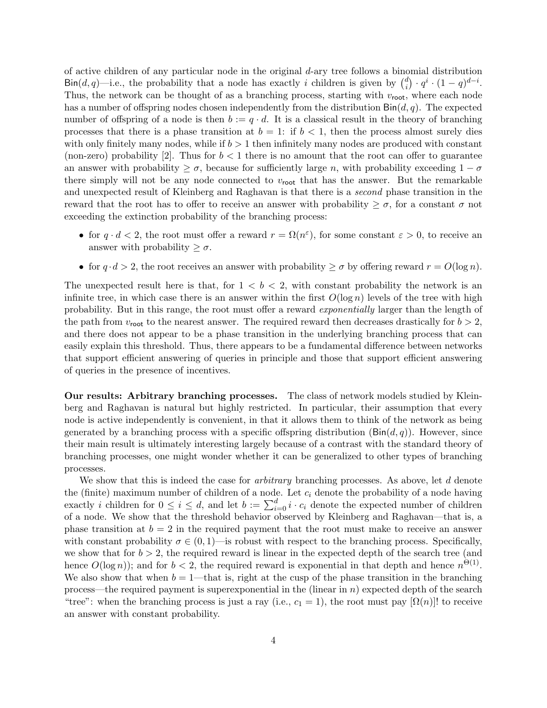of active children of any particular node in the original d-ary tree follows a binomial distribution  $\text{Bin}(d, q)$ —i.e., the probability that a node has exactly i children is given by  $\binom{d}{i}$  $\binom{d}{i} \cdot q^i \cdot (1-q)^{d-i}.$ Thus, the network can be thought of as a branching process, starting with  $v_{\text{root}}$ , where each node has a number of offspring nodes chosen independently from the distribution  $\text{Bin}(d, q)$ . The expected number of offspring of a node is then  $b := q \cdot d$ . It is a classical result in the theory of branching processes that there is a phase transition at  $b = 1$ : if  $b < 1$ , then the process almost surely dies with only finitely many nodes, while if  $b > 1$  then infinitely many nodes are produced with constant (non-zero) probability [2]. Thus for  $b < 1$  there is no amount that the root can offer to guarantee an answer with probability  $\geq \sigma$ , because for sufficiently large n, with probability exceeding  $1 - \sigma$ there simply will not be any node connected to  $v_{\text{root}}$  that has the answer. But the remarkable and unexpected result of Kleinberg and Raghavan is that there is a second phase transition in the reward that the root has to offer to receive an answer with probability  $\geq \sigma$ , for a constant  $\sigma$  not exceeding the extinction probability of the branching process:

- for  $q \cdot d < 2$ , the root must offer a reward  $r = \Omega(n^{\varepsilon})$ , for some constant  $\varepsilon > 0$ , to receive an answer with probability  $> \sigma$ .
- for  $q \cdot d > 2$ , the root receives an answer with probability  $\geq \sigma$  by offering reward  $r = O(\log n)$ .

The unexpected result here is that, for  $1 < b < 2$ , with constant probability the network is an infinite tree, in which case there is an answer within the first  $O(\log n)$  levels of the tree with high probability. But in this range, the root must offer a reward exponentially larger than the length of the path from  $v_{\text{root}}$  to the nearest answer. The required reward then decreases drastically for  $b > 2$ , and there does not appear to be a phase transition in the underlying branching process that can easily explain this threshold. Thus, there appears to be a fundamental difference between networks that support efficient answering of queries in principle and those that support efficient answering of queries in the presence of incentives.

Our results: Arbitrary branching processes. The class of network models studied by Kleinberg and Raghavan is natural but highly restricted. In particular, their assumption that every node is active independently is convenient, in that it allows them to think of the network as being generated by a branching process with a specific offspring distribution  $(\text{Bin}(d, q))$ . However, since their main result is ultimately interesting largely because of a contrast with the standard theory of branching processes, one might wonder whether it can be generalized to other types of branching processes.

We show that this is indeed the case for *arbitrary* branching processes. As above, let  $d$  denote the (finite) maximum number of children of a node. Let  $c_i$  denote the probability of a node having exactly *i* children for  $0 \leq i \leq d$ , and let  $b := \sum_{i=0}^{d} i \cdot c_i$  denote the expected number of children of a node. We show that the threshold behavior observed by Kleinberg and Raghavan—that is, a phase transition at  $b = 2$  in the required payment that the root must make to receive an answer with constant probability  $\sigma \in (0,1)$ —is robust with respect to the branching process. Specifically, we show that for  $b > 2$ , the required reward is linear in the expected depth of the search tree (and hence  $O(\log n)$ ; and for  $b < 2$ , the required reward is exponential in that depth and hence  $n^{\Theta(1)}$ . We also show that when  $b = 1$ —that is, right at the cusp of the phase transition in the branching process—the required payment is superexponential in the (linear in  $n$ ) expected depth of the search "tree": when the branching process is just a ray (i.e.,  $c_1 = 1$ ), the root must pay  $[\Omega(n)]!$  to receive an answer with constant probability.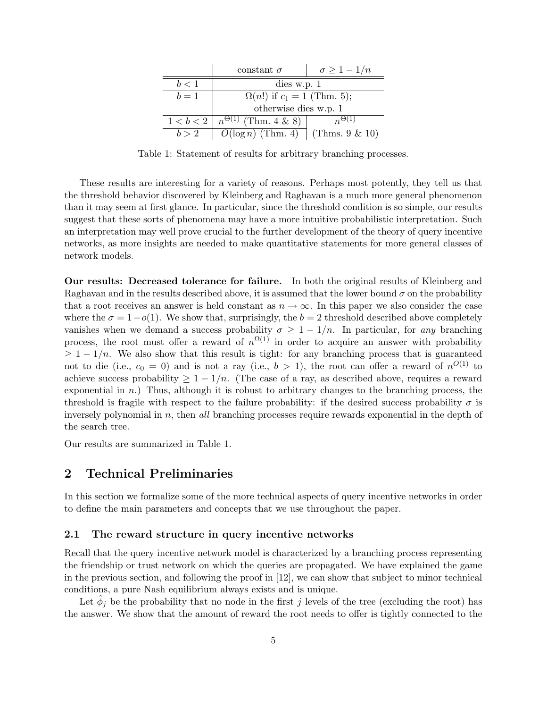|           | constant $\sigma$                   | $\sigma \geq 1-1/n$ |  |
|-----------|-------------------------------------|---------------------|--|
| b < 1     | dies w.p. $1$                       |                     |  |
| $b=1$     | $\Omega(n!)$ if $c_1 = 1$ (Thm. 5); |                     |  |
|           | otherwise dies w.p. 1               |                     |  |
| 1 < b < 2 | $n^{\Theta(1)}$ (Thm. 4 & 8)        |                     |  |
| b > 2     | $O(\log n)$ (Thm. 4)                | (Thms. 9 & 10)      |  |

Table 1: Statement of results for arbitrary branching processes.

These results are interesting for a variety of reasons. Perhaps most potently, they tell us that the threshold behavior discovered by Kleinberg and Raghavan is a much more general phenomenon than it may seem at first glance. In particular, since the threshold condition is so simple, our results suggest that these sorts of phenomena may have a more intuitive probabilistic interpretation. Such an interpretation may well prove crucial to the further development of the theory of query incentive networks, as more insights are needed to make quantitative statements for more general classes of network models.

Our results: Decreased tolerance for failure. In both the original results of Kleinberg and Raghavan and in the results described above, it is assumed that the lower bound  $\sigma$  on the probability that a root receives an answer is held constant as  $n \to \infty$ . In this paper we also consider the case where the  $\sigma = 1-o(1)$ . We show that, surprisingly, the  $b = 2$  threshold described above completely vanishes when we demand a success probability  $\sigma \geq 1 - 1/n$ . In particular, for any branching process, the root must offer a reward of  $n^{\Omega(1)}$  in order to acquire an answer with probability  $\geq 1-1/n$ . We also show that this result is tight: for any branching process that is guaranteed not to die (i.e.,  $c_0 = 0$ ) and is not a ray (i.e.,  $b > 1$ ), the root can offer a reward of  $n^{O(1)}$  to achieve success probability  $\geq 1 - 1/n$ . (The case of a ray, as described above, requires a reward exponential in  $n$ .) Thus, although it is robust to arbitrary changes to the branching process, the threshold is fragile with respect to the failure probability: if the desired success probability  $\sigma$  is inversely polynomial in n, then all branching processes require rewards exponential in the depth of the search tree.

Our results are summarized in Table 1.

### 2 Technical Preliminaries

In this section we formalize some of the more technical aspects of query incentive networks in order to define the main parameters and concepts that we use throughout the paper.

#### 2.1 The reward structure in query incentive networks

Recall that the query incentive network model is characterized by a branching process representing the friendship or trust network on which the queries are propagated. We have explained the game in the previous section, and following the proof in [12], we can show that subject to minor technical conditions, a pure Nash equilibrium always exists and is unique.

Let  $\hat{\phi}_j$  be the probability that no node in the first j levels of the tree (excluding the root) has the answer. We show that the amount of reward the root needs to offer is tightly connected to the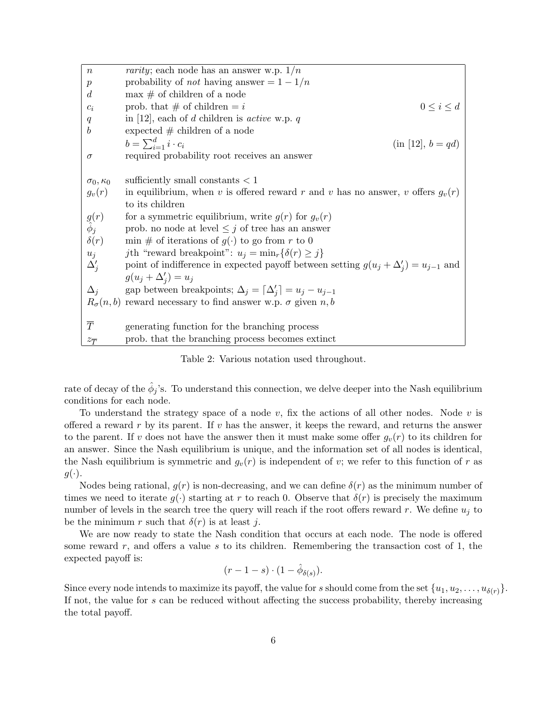| $\boldsymbol{n}$         | <i>rarity</i> ; each node has an answer w.p. $1/n$                                          |  |
|--------------------------|---------------------------------------------------------------------------------------------|--|
| $\boldsymbol{p}$         | probability of <i>not</i> having answer $= 1 - 1/n$                                         |  |
| d                        | $\max \#$ of children of a node                                                             |  |
| $c_i$                    | prob. that $\#$ of children $=i$<br>$0 \leq i \leq d$                                       |  |
| q                        | in [12], each of d children is <i>active</i> w.p. q                                         |  |
| $\boldsymbol{b}$         | expected $#$ children of a node                                                             |  |
|                          | $b=\sum_{i=1}^d i\cdot c_i$<br>$(in [12], b = qd)$                                          |  |
| $\sigma$                 | required probability root receives an answer                                                |  |
|                          |                                                                                             |  |
| $\sigma_0, \kappa_0$     | sufficiently small constants $< 1$                                                          |  |
| $g_v(r)$                 | in equilibrium, when v is offered reward r and v has no answer, v offers $g_v(r)$           |  |
|                          | to its children                                                                             |  |
|                          | for a symmetric equilibrium, write $g(r)$ for $g_v(r)$                                      |  |
| $g(r)$<br>$\hat{\phi}_j$ | prob. no node at level $\leq j$ of tree has an answer                                       |  |
| $\delta(r)$              | min # of iterations of $g(\cdot)$ to go from r to 0                                         |  |
| $u_j$                    | jth "reward breakpoint": $u_j = \min_r {\delta(r) \geq j}$                                  |  |
| $\Delta'_j$              | point of indifference in expected payoff between setting $g(u_j + \Delta'_j) = u_{j-1}$ and |  |
|                          | $g(u_j + \Delta'_j) = u_j$                                                                  |  |
| $\Delta_i$               | gap between breakpoints; $\Delta_j = [\Delta'_j] = u_j - u_{j-1}$                           |  |
|                          | $R_{\sigma}(n, b)$ reward necessary to find answer w.p. $\sigma$ given $n, b$               |  |
|                          |                                                                                             |  |
| $\overline{T}$           | generating function for the branching process                                               |  |
| $z_{\overline{T}}$       | prob. that the branching process becomes extinct                                            |  |

Table 2: Various notation used throughout.

rate of decay of the  $\hat{\phi}_j$ 's. To understand this connection, we delve deeper into the Nash equilibrium conditions for each node.

To understand the strategy space of a node  $v$ , fix the actions of all other nodes. Node  $v$  is offered a reward r by its parent. If  $v$  has the answer, it keeps the reward, and returns the answer to the parent. If v does not have the answer then it must make some offer  $g_v(r)$  to its children for an answer. Since the Nash equilibrium is unique, and the information set of all nodes is identical, the Nash equilibrium is symmetric and  $g_v(r)$  is independent of v; we refer to this function of r as  $g(\cdot)$ .

Nodes being rational,  $g(r)$  is non-decreasing, and we can define  $\delta(r)$  as the minimum number of times we need to iterate  $g(\cdot)$  starting at r to reach 0. Observe that  $\delta(r)$  is precisely the maximum number of levels in the search tree the query will reach if the root offers reward r. We define  $u_j$  to be the minimum r such that  $\delta(r)$  is at least j.

We are now ready to state the Nash condition that occurs at each node. The node is offered some reward  $r$ , and offers a value  $s$  to its children. Remembering the transaction cost of 1, the expected payoff is:

$$
(r-1-s)\cdot (1-\hat{\phi}_{\delta(s)}).
$$

Since every node intends to maximize its payoff, the value for s should come from the set  $\{u_1, u_2, \ldots, u_{\delta(r)}\}.$ If not, the value for s can be reduced without affecting the success probability, thereby increasing the total payoff.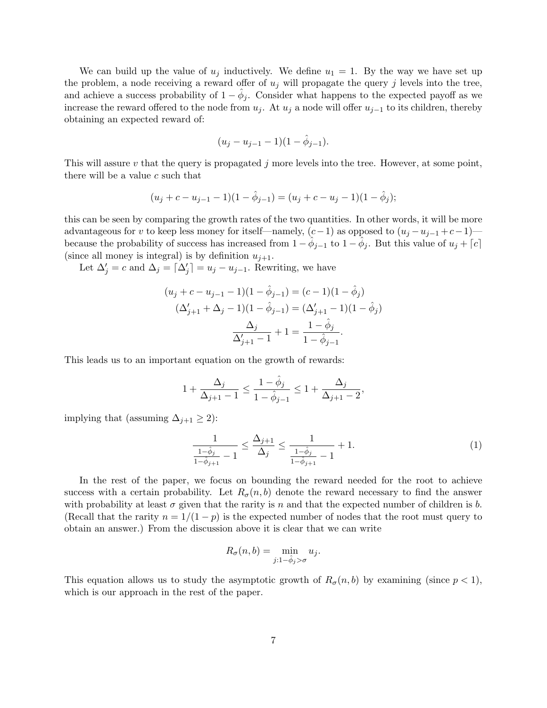We can build up the value of  $u_j$  inductively. We define  $u_1 = 1$ . By the way we have set up the problem, a node receiving a reward offer of  $u_i$  will propagate the query j levels into the tree, and achieve a success probability of  $1 - \hat{\phi}_j$ . Consider what happens to the expected payoff as we increase the reward offered to the node from  $u_j$ . At  $u_j$  a node will offer  $u_{j-1}$  to its children, thereby obtaining an expected reward of:

$$
(u_j - u_{j-1} - 1)(1 - \hat{\phi}_{j-1}).
$$

This will assure  $v$  that the query is propagated  $j$  more levels into the tree. However, at some point, there will be a value  $c$  such that

$$
(u_j + c - u_{j-1} - 1)(1 - \hat{\phi}_{j-1}) = (u_j + c - u_j - 1)(1 - \hat{\phi}_j);
$$

this can be seen by comparing the growth rates of the two quantities. In other words, it will be more advantageous for v to keep less money for itself—namely,  $(c-1)$  as opposed to  $(u_j - u_{j-1} + c - 1)$  because the probability of success has increased from  $1-\hat{\phi}_{j-1}$  to  $1-\hat{\phi}_j$ . But this value of  $u_j + [c]$ (since all money is integral) is by definition  $u_{j+1}$ .

Let  $\Delta'_{j} = c$  and  $\Delta_{j} = \lceil \Delta'_{j} \rceil = u_{j} - u_{j-1}$ . Rewriting, we have

$$
(u_j + c - u_{j-1} - 1)(1 - \hat{\phi}_{j-1}) = (c - 1)(1 - \hat{\phi}_j)
$$
  

$$
(\Delta'_{j+1} + \Delta_j - 1)(1 - \hat{\phi}_{j-1}) = (\Delta'_{j+1} - 1)(1 - \hat{\phi}_j)
$$
  

$$
\frac{\Delta_j}{\Delta'_{j+1} - 1} + 1 = \frac{1 - \hat{\phi}_j}{1 - \hat{\phi}_{j-1}}.
$$

This leads us to an important equation on the growth of rewards:

$$
1+\frac{\Delta_j}{\Delta_{j+1}-1}\leq \frac{1-\hat\phi_j}{1-\hat\phi_{j-1}}\leq 1+\frac{\Delta_j}{\Delta_{j+1}-2},
$$

implying that (assuming  $\Delta_{j+1} \geq 2$ ):

$$
\frac{1}{\frac{1-\hat{\phi}_j}{1-\hat{\phi}_{j+1}}-1} \le \frac{\Delta_{j+1}}{\Delta_j} \le \frac{1}{\frac{1-\hat{\phi}_j}{1-\hat{\phi}_{j+1}}-1}+1.
$$
\n(1)

In the rest of the paper, we focus on bounding the reward needed for the root to achieve success with a certain probability. Let  $R_{\sigma}(n, b)$  denote the reward necessary to find the answer with probability at least  $\sigma$  given that the rarity is n and that the expected number of children is b. (Recall that the rarity  $n = 1/(1 - p)$  is the expected number of nodes that the root must query to obtain an answer.) From the discussion above it is clear that we can write

$$
R_{\sigma}(n, b) = \min_{j:1-\hat{\phi}_j > \sigma} u_j.
$$

This equation allows us to study the asymptotic growth of  $R_{\sigma}(n, b)$  by examining (since  $p < 1$ ), which is our approach in the rest of the paper.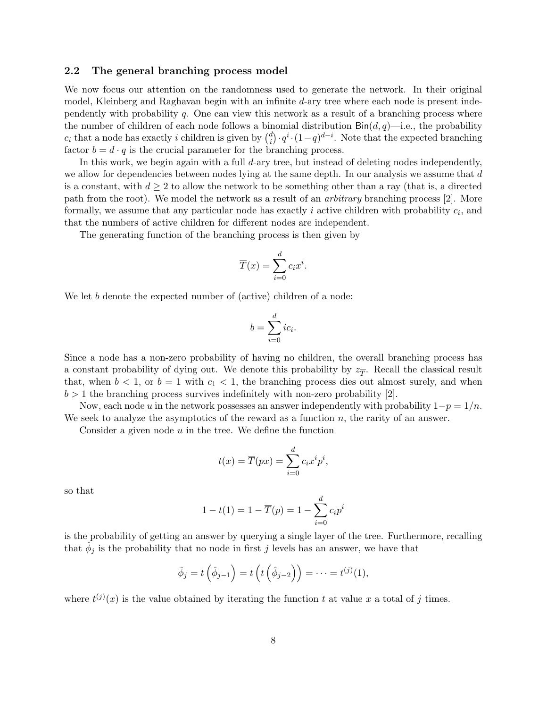#### 2.2 The general branching process model

We now focus our attention on the randomness used to generate the network. In their original model, Kleinberg and Raghavan begin with an infinite d-ary tree where each node is present independently with probability q. One can view this network as a result of a branching process where the number of children of each node follows a binomial distribution  $\text{Bin}(d, q)$ —i.e., the probability  $c_i$  that a node has exactly i children is given by  $\binom{d}{i}$  $\left(\frac{d}{i}\right) \cdot q^i \cdot (1-q)^{d-i}$ . Note that the expected branching factor  $b = d \cdot q$  is the crucial parameter for the branching process.

In this work, we begin again with a full d-ary tree, but instead of deleting nodes independently, we allow for dependencies between nodes lying at the same depth. In our analysis we assume that  $d$ is a constant, with  $d \geq 2$  to allow the network to be something other than a ray (that is, a directed path from the root). We model the network as a result of an arbitrary branching process [2]. More formally, we assume that any particular node has exactly  $i$  active children with probability  $c_i$ , and that the numbers of active children for different nodes are independent.

The generating function of the branching process is then given by

$$
\overline{T}(x) = \sum_{i=0}^{d} c_i x^i.
$$

We let b denote the expected number of (active) children of a node:

$$
b = \sum_{i=0}^{d} ic_i.
$$

Since a node has a non-zero probability of having no children, the overall branching process has a constant probability of dying out. We denote this probability by  $z_{\overline{T}}$ . Recall the classical result that, when  $b < 1$ , or  $b = 1$  with  $c_1 < 1$ , the branching process dies out almost surely, and when  $b > 1$  the branching process survives indefinitely with non-zero probability [2].

Now, each node u in the network possesses an answer independently with probability  $1-p = 1/n$ . We seek to analyze the asymptotics of the reward as a function  $n$ , the rarity of an answer.

Consider a given node  $u$  in the tree. We define the function

$$
t(x) = \overline{T}(px) = \sum_{i=0}^{d} c_i x^i p^i,
$$

so that

$$
1 - t(1) = 1 - \overline{T}(p) = 1 - \sum_{i=0}^{d} c_i p^i
$$

is the probability of getting an answer by querying a single layer of the tree. Furthermore, recalling that  $\hat{\phi}_j$  is the probability that no node in first j levels has an answer, we have that

$$
\hat{\phi}_j = t\left(\hat{\phi}_{j-1}\right) = t\left(t\left(\hat{\phi}_{j-2}\right)\right) = \cdots = t^{(j)}(1),
$$

where  $t^{(j)}(x)$  is the value obtained by iterating the function t at value x a total of j times.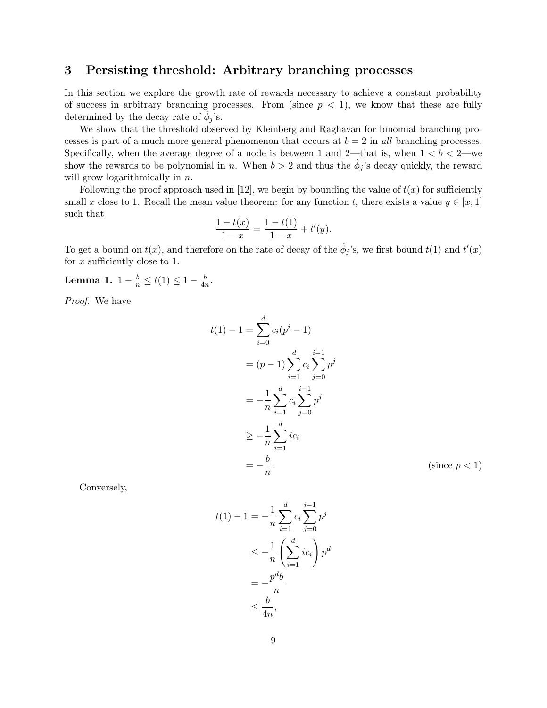#### 3 Persisting threshold: Arbitrary branching processes

In this section we explore the growth rate of rewards necessary to achieve a constant probability of success in arbitrary branching processes. From (since  $p < 1$ ), we know that these are fully determined by the decay rate of  $\hat{\phi}_j$ 's.

We show that the threshold observed by Kleinberg and Raghavan for binomial branching processes is part of a much more general phenomenon that occurs at  $b = 2$  in all branching processes. Specifically, when the average degree of a node is between 1 and 2—that is, when  $1 < b < 2$ —we show the rewards to be polynomial in n. When  $b > 2$  and thus the  $\hat{\phi}_j$ 's decay quickly, the reward will grow logarithmically in  $n$ .

Following the proof approach used in [12], we begin by bounding the value of  $t(x)$  for sufficiently small x close to 1. Recall the mean value theorem: for any function t, there exists a value  $y \in [x, 1]$ such that

$$
\frac{1-t(x)}{1-x} = \frac{1-t(1)}{1-x} + t'(y).
$$

To get a bound on  $t(x)$ , and therefore on the rate of decay of the  $\hat{\phi}_j$ 's, we first bound  $t(1)$  and  $t'(x)$ for x sufficiently close to 1.

Lemma 1.  $1-\frac{b}{n} \leq t(1) \leq 1-\frac{b}{4n}$  $\frac{b}{4n}$ .

Proof. We have

$$
t(1) - 1 = \sum_{i=0}^{d} c_i (p^i - 1)
$$
  
=  $(p - 1) \sum_{i=1}^{d} c_i \sum_{j=0}^{i-1} p^j$   
=  $-\frac{1}{n} \sum_{i=1}^{d} c_i \sum_{j=0}^{i-1} p^j$   
 $\ge -\frac{1}{n} \sum_{i=1}^{d} ic_i$   
=  $-\frac{b}{n}$ .

 $(since p < 1)$ 

Conversely,

$$
t(1) - 1 = -\frac{1}{n} \sum_{i=1}^{d} c_i \sum_{j=0}^{i-1} p^j
$$
  
\n
$$
\leq -\frac{1}{n} \left( \sum_{i=1}^{d} ic_i \right) p^d
$$
  
\n
$$
= -\frac{p^d b}{n}
$$
  
\n
$$
\leq \frac{b}{4n},
$$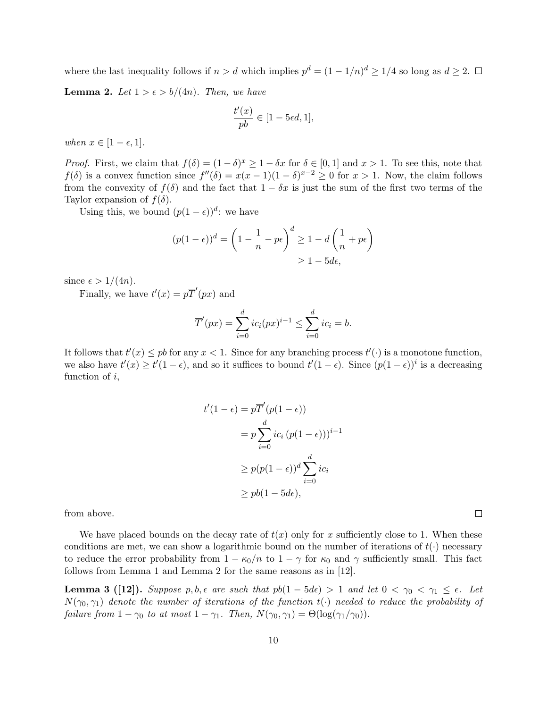where the last inequality follows if  $n > d$  which implies  $p^d = (1 - 1/n)^d \ge 1/4$  so long as  $d \ge 2$ . **Lemma 2.** Let  $1 > \epsilon > b/(4n)$ . Then, we have

$$
\frac{t'(x)}{pb}\in [1-5\epsilon d,1],
$$

when  $x \in [1 - \epsilon, 1].$ 

*Proof.* First, we claim that  $f(\delta) = (1 - \delta)^x \ge 1 - \delta x$  for  $\delta \in [0, 1]$  and  $x > 1$ . To see this, note that  $f(\delta)$  is a convex function since  $f''(\delta) = x(x-1)(1-\delta)^{x-2} \ge 0$  for  $x > 1$ . Now, the claim follows from the convexity of  $f(\delta)$  and the fact that  $1 - \delta x$  is just the sum of the first two terms of the Taylor expansion of  $f(\delta)$ .

Using this, we bound  $(p(1 - \epsilon))^d$ : we have

$$
(p(1 - \epsilon))^d = \left(1 - \frac{1}{n} - p\epsilon\right)^d \ge 1 - d\left(\frac{1}{n} + p\epsilon\right)
$$

$$
\ge 1 - 5d\epsilon,
$$

since  $\epsilon > 1/(4n)$ .

Finally, we have  $t'(x) = p\overline{T}'(px)$  and

$$
\overline{T}'(px) = \sum_{i=0}^{d} ic_i(px)^{i-1} \le \sum_{i=0}^{d} ic_i = b.
$$

It follows that  $t'(x) \leq pb$  for any  $x < 1$ . Since for any branching process  $t'(\cdot)$  is a monotone function, we also have  $t'(x) \geq t'(1-\epsilon)$ , and so it suffices to bound  $t'(1-\epsilon)$ . Since  $(p(1-\epsilon))^i$  is a decreasing function of i,

$$
t'(1 - \epsilon) = p\overline{T}'(p(1 - \epsilon))
$$
  
=  $p \sum_{i=0}^{d} ic_i (p(1 - \epsilon)))^{i-1}$   
 $\ge p(p(1 - \epsilon))^d \sum_{i=0}^{d} ic_i$   
 $\ge pb(1 - 5d\epsilon),$ 

from above.

We have placed bounds on the decay rate of  $t(x)$  only for x sufficiently close to 1. When these conditions are met, we can show a logarithmic bound on the number of iterations of  $t(\cdot)$  necessary to reduce the error probability from  $1 - \kappa_0/n$  to  $1 - \gamma$  for  $\kappa_0$  and  $\gamma$  sufficiently small. This fact follows from Lemma 1 and Lemma 2 for the same reasons as in [12].

**Lemma 3 ([12]).** Suppose  $p, b, \epsilon$  are such that  $pb(1-5d\epsilon) > 1$  and let  $0 < \gamma_0 < \gamma_1 \leq \epsilon$ . Let  $N(\gamma_0, \gamma_1)$  denote the number of iterations of the function  $t(\cdot)$  needed to reduce the probability of failure from  $1 - \gamma_0$  to at most  $1 - \gamma_1$ . Then,  $N(\gamma_0, \gamma_1) = \Theta(\log(\gamma_1/\gamma_0))$ .

 $\Box$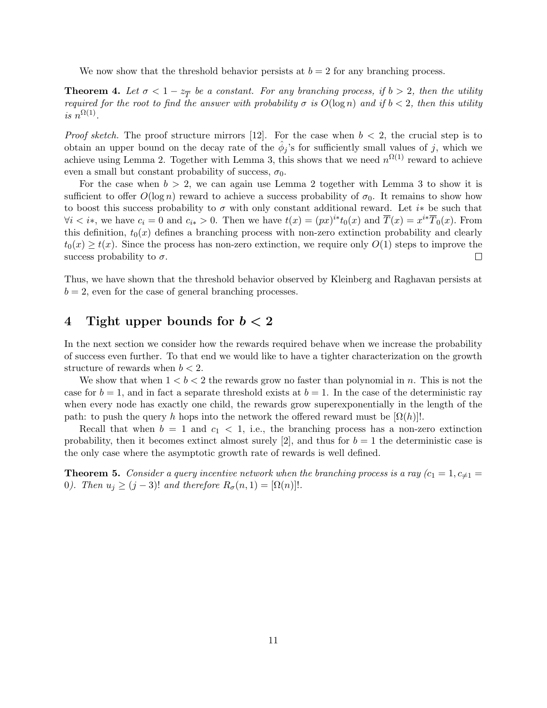We now show that the threshold behavior persists at  $b = 2$  for any branching process.

**Theorem 4.** Let  $\sigma < 1 - z_{\overline{T}}$  be a constant. For any branching process, if  $b > 2$ , then the utility required for the root to find the answer with probability  $\sigma$  is  $O(\log n)$  and if  $b < 2$ , then this utility is  $n^{\Omega(1)}$ .

*Proof sketch.* The proof structure mirrors [12]. For the case when  $b < 2$ , the crucial step is to obtain an upper bound on the decay rate of the  $\hat{\phi}_j$ 's for sufficiently small values of j, which we achieve using Lemma 2. Together with Lemma 3, this shows that we need  $n^{\Omega(1)}$  reward to achieve even a small but constant probability of success,  $\sigma_0$ .

For the case when  $b > 2$ , we can again use Lemma 2 together with Lemma 3 to show it is sufficient to offer  $O(\log n)$  reward to achieve a success probability of  $\sigma_0$ . It remains to show how to boost this success probability to  $\sigma$  with only constant additional reward. Let i<sup>\*</sup> be such that  $\forall i < i*,$  we have  $c_i = 0$  and  $c_{i*} > 0$ . Then we have  $t(x) = (px)^{i*} t_0(x)$  and  $\overline{T}(x) = x^{i*} \overline{T}_0(x)$ . From this definition,  $t_0(x)$  defines a branching process with non-zero extinction probability and clearly  $t_0(x) \geq t(x)$ . Since the process has non-zero extinction, we require only  $O(1)$  steps to improve the success probability to  $\sigma$ .  $\Box$ 

Thus, we have shown that the threshold behavior observed by Kleinberg and Raghavan persists at  $b = 2$ , even for the case of general branching processes.

## 4 Tight upper bounds for  $b < 2$

In the next section we consider how the rewards required behave when we increase the probability of success even further. To that end we would like to have a tighter characterization on the growth structure of rewards when  $b < 2$ .

We show that when  $1 < b < 2$  the rewards grow no faster than polynomial in n. This is not the case for  $b = 1$ , and in fact a separate threshold exists at  $b = 1$ . In the case of the deterministic ray when every node has exactly one child, the rewards grow superexponentially in the length of the path: to push the query h hops into the network the offered reward must be  $[\Omega(h)]!$ .

Recall that when  $b = 1$  and  $c_1 < 1$ , i.e., the branching process has a non-zero extinction probability, then it becomes extinct almost surely [2], and thus for  $b = 1$  the deterministic case is the only case where the asymptotic growth rate of rewards is well defined.

**Theorem 5.** Consider a query incentive network when the branching process is a ray  $(c_1 = 1, c_{\neq 1} = 1)$ 0). Then  $u_j \ge (j-3)!$  and therefore  $R_{\sigma}(n,1) = \vert \Omega(n) \vert!$ .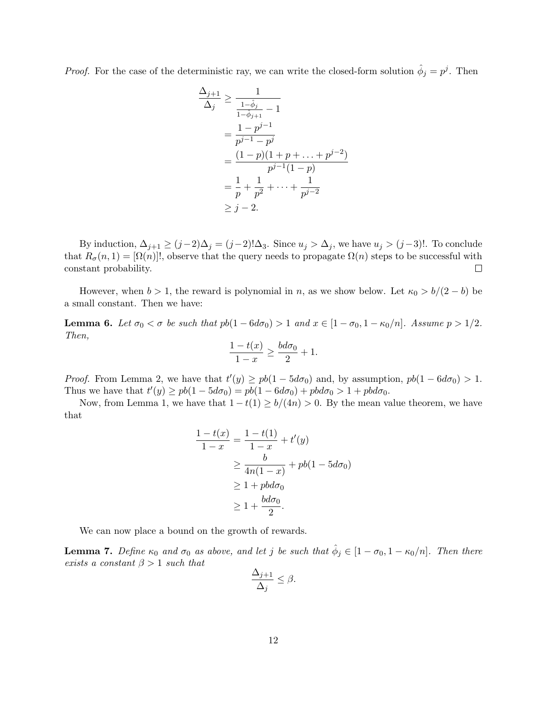*Proof.* For the case of the deterministic ray, we can write the closed-form solution  $\hat{\phi}_j = p^j$ . Then

$$
\frac{\Delta_{j+1}}{\Delta_j} \ge \frac{1}{\frac{1-\hat{\phi}_j}{1-\hat{\phi}_{j+1}} - 1}
$$
  
= 
$$
\frac{1-p^{j-1}}{p^{j-1} - p^j}
$$
  
= 
$$
\frac{(1-p)(1+p+\ldots+p^{j-2})}{p^{j-1}(1-p)}
$$
  
= 
$$
\frac{1}{p} + \frac{1}{p^2} + \cdots + \frac{1}{p^{j-2}}
$$
  

$$
\ge j-2.
$$

By induction,  $\Delta_{j+1} \ge (j-2)\Delta_j = (j-2)!\Delta_3$ . Since  $u_j > \Delta_j$ , we have  $u_j > (j-3)$ !. To conclude that  $R_{\sigma}(n, 1) = \mathbb{Q}(n)$ !, observe that the query needs to propagate  $\Omega(n)$  steps to be successful with  $\Box$ constant probability.

However, when  $b > 1$ , the reward is polynomial in n, as we show below. Let  $\kappa_0 > b/(2 - b)$  be a small constant. Then we have:

**Lemma 6.** Let  $\sigma_0 < \sigma$  be such that  $pb(1 - 6d\sigma_0) > 1$  and  $x \in [1 - \sigma_0, 1 - \kappa_0/n]$ . Assume  $p > 1/2$ . Then,

$$
\frac{1-t(x)}{1-x} \ge \frac{bd\sigma_0}{2} + 1.
$$

*Proof.* From Lemma 2, we have that  $t'(y) \geq pb(1 - 5d\sigma_0)$  and, by assumption,  $pb(1 - 6d\sigma_0) > 1$ . Thus we have that  $t'(y) \geq pb(1 - 5d\sigma_0) = pb(1 - 6d\sigma_0) + pbd\sigma_0 > 1 + pbd\sigma_0$ .

Now, from Lemma 1, we have that  $1 - t(1) \ge b/(4n) > 0$ . By the mean value theorem, we have that

$$
\frac{1-t(x)}{1-x} = \frac{1-t(1)}{1-x} + t'(y)
$$

$$
\geq \frac{b}{4n(1-x)} + pb(1 - 5d\sigma_0)
$$

$$
\geq 1 + pbd\sigma_0
$$

$$
\geq 1 + \frac{bd\sigma_0}{2}.
$$

We can now place a bound on the growth of rewards.

**Lemma 7.** Define  $\kappa_0$  and  $\sigma_0$  as above, and let j be such that  $\hat{\phi}_j \in [1 - \sigma_0, 1 - \kappa_0/n]$ . Then there exists a constant  $\beta > 1$  such that

$$
\frac{\Delta_{j+1}}{\Delta_j} \le \beta.
$$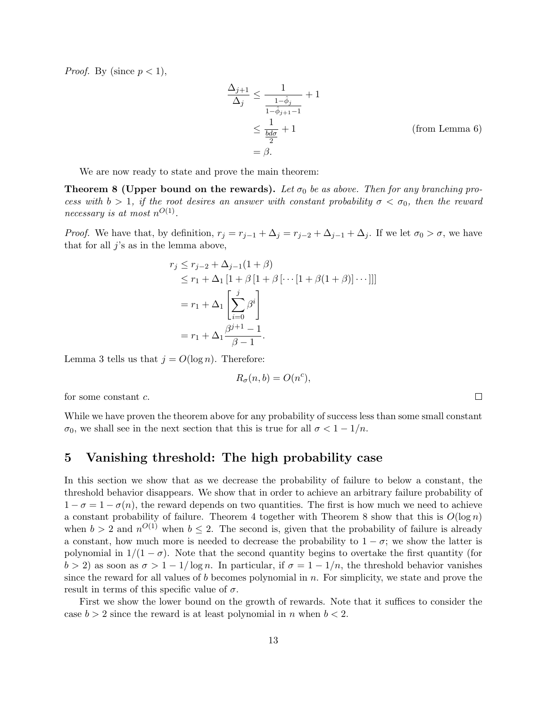*Proof.* By (since  $p < 1$ ),

$$
\frac{\Delta_{j+1}}{\Delta_j} \le \frac{1}{\frac{1-\hat{\phi}_j}{1-\hat{\phi}_{j+1}-1}} + 1
$$
\n
$$
\le \frac{1}{\frac{bd\sigma}{2}} + 1
$$
\n(from Lemma 6)

\n
$$
= \beta.
$$

We are now ready to state and prove the main theorem:

**Theorem 8 (Upper bound on the rewards).** Let  $\sigma_0$  be as above. Then for any branching process with  $b > 1$ , if the root desires an answer with constant probability  $\sigma < \sigma_0$ , then the reward necessary is at most  $n^{O(1)}$ .

*Proof.* We have that, by definition,  $r_j = r_{j-1} + \Delta_j = r_{j-2} + \Delta_{j-1} + \Delta_j$ . If we let  $\sigma_0 > \sigma$ , we have that for all  $j$ 's as in the lemma above,

$$
r_j \leq r_{j-2} + \Delta_{j-1}(1+\beta)
$$
  
\n
$$
\leq r_1 + \Delta_1 [1+\beta [1+\beta [\cdots [1+\beta(1+\beta)]\cdots]]]
$$
  
\n
$$
= r_1 + \Delta_1 \left[\sum_{i=0}^j \beta^i\right]
$$
  
\n
$$
= r_1 + \Delta_1 \frac{\beta^{j+1} - 1}{\beta - 1}.
$$

Lemma 3 tells us that  $j = O(\log n)$ . Therefore:

$$
R_{\sigma}(n, b) = O(n^c),
$$

for some constant c.

While we have proven the theorem above for any probability of success less than some small constant  $\sigma_0$ , we shall see in the next section that this is true for all  $\sigma < 1 - 1/n$ .

#### 5 Vanishing threshold: The high probability case

In this section we show that as we decrease the probability of failure to below a constant, the threshold behavior disappears. We show that in order to achieve an arbitrary failure probability of  $1 - \sigma = 1 - \sigma(n)$ , the reward depends on two quantities. The first is how much we need to achieve a constant probability of failure. Theorem 4 together with Theorem 8 show that this is  $O(\log n)$ when  $b > 2$  and  $n^{O(1)}$  when  $b \leq 2$ . The second is, given that the probability of failure is already a constant, how much more is needed to decrease the probability to  $1 - \sigma$ ; we show the latter is polynomial in  $1/(1 - \sigma)$ . Note that the second quantity begins to overtake the first quantity (for  $b > 2$ ) as soon as  $\sigma > 1 - 1/\log n$ . In particular, if  $\sigma = 1 - 1/n$ , the threshold behavior vanishes since the reward for all values of b becomes polynomial in  $n$ . For simplicity, we state and prove the result in terms of this specific value of  $\sigma$ .

First we show the lower bound on the growth of rewards. Note that it suffices to consider the case  $b > 2$  since the reward is at least polynomial in n when  $b < 2$ .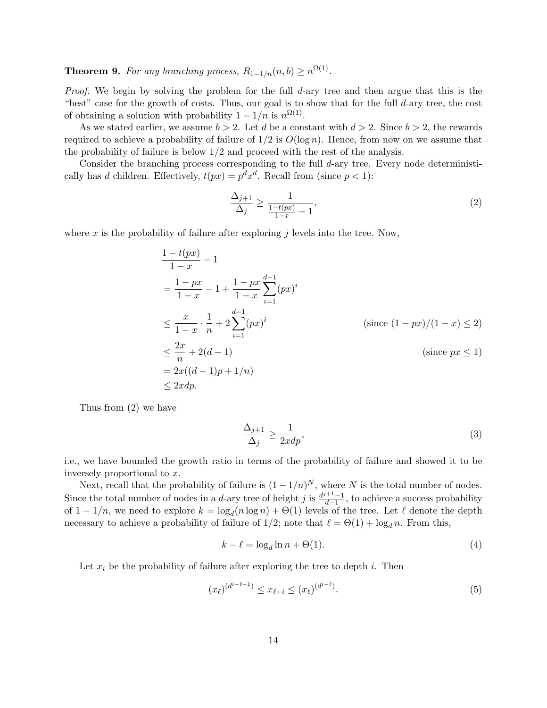**Theorem 9.** For any branching process,  $R_{1-1/n}(n, b) \geq n^{\Omega(1)}$ .

*Proof.* We begin by solving the problem for the full d-ary tree and then argue that this is the "best" case for the growth of costs. Thus, our goal is to show that for the full  $d$ -ary tree, the cost of obtaining a solution with probability  $1 - 1/n$  is  $n^{\Omega(1)}$ .

As we stated earlier, we assume  $b > 2$ . Let d be a constant with  $d > 2$ . Since  $b > 2$ , the rewards required to achieve a probability of failure of  $1/2$  is  $O(\log n)$ . Hence, from now on we assume that the probability of failure is below  $1/2$  and proceed with the rest of the analysis.

Consider the branching process corresponding to the full d-ary tree. Every node deterministically has d children. Effectively,  $t(px) = p^d x^d$ . Recall from (since  $p < 1$ ):

$$
\frac{\Delta_{j+1}}{\Delta_j} \ge \frac{1}{\frac{1-t(px)}{1-x} - 1},\tag{2}
$$

where x is the probability of failure after exploring  $j$  levels into the tree. Now,

$$
\frac{1 - t(px)}{1 - x} - 1
$$
\n
$$
= \frac{1 - px}{1 - x} - 1 + \frac{1 - px}{1 - x} \sum_{i=1}^{d-1} (px)^i
$$
\n
$$
\leq \frac{x}{1 - x} \cdot \frac{1}{n} + 2 \sum_{i=1}^{d-1} (px)^i \qquad \text{(since } (1 - px)/(1 - x) \leq 2)
$$
\n
$$
\leq \frac{2x}{n} + 2(d - 1)
$$
\n
$$
= 2x((d - 1)p + 1/n)
$$
\n
$$
\leq 2xdp.
$$

Thus from (2) we have

$$
\frac{\Delta_{j+1}}{\Delta_j} \ge \frac{1}{2xdp},\tag{3}
$$

i.e., we have bounded the growth ratio in terms of the probability of failure and showed it to be inversely proportional to x.

Next, recall that the probability of failure is  $(1 - 1/n)^N$ , where N is the total number of nodes. Since the total number of nodes in a d-ary tree of height j is  $\frac{d^{j+1}-1}{d-1}$  $\frac{d+1}{d-1}$ , to achieve a success probability of  $1 - 1/n$ , we need to explore  $k = \log_d(n \log n) + \Theta(1)$  levels of the tree. Let  $\ell$  denote the depth necessary to achieve a probability of failure of  $1/2$ ; note that  $\ell = \Theta(1) + \log_d n$ . From this,

$$
k - \ell = \log_d \ln n + \Theta(1). \tag{4}
$$

Let  $x_i$  be the probability of failure after exploring the tree to depth i. Then

$$
(x_{\ell})^{(d^{i-\ell-1})} \le x_{\ell+i} \le (x_{\ell})^{(d^{i-\ell})}.
$$
\n(5)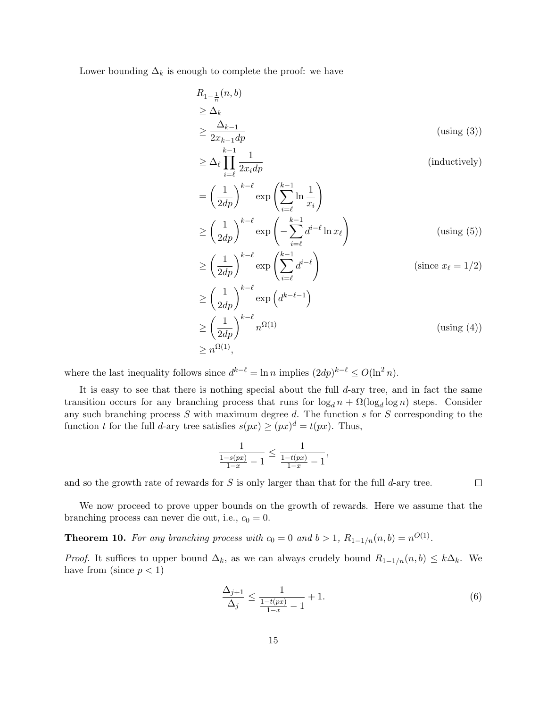Lower bounding  $\Delta_k$  is enough to complete the proof: we have

$$
R_{1-\frac{1}{n}}(n, b)
$$
  
\n
$$
\geq \Delta_k
$$
  
\n
$$
\geq \frac{\Delta_{k-1}}{2x_{k-1}dp}
$$
 (using (3))  
\n
$$
\geq \Delta_{\ell} \prod_{i=\ell}^{k-1} \frac{1}{2x_i dp}
$$
 (inductively)  
\n
$$
= \left(\frac{1}{2dp}\right)^{k-\ell} \exp\left(\sum_{i=\ell}^{k-1} \ln \frac{1}{x_i}\right)
$$
  
\n
$$
\geq \left(\frac{1}{2dp}\right)^{k-\ell} \exp\left(-\sum_{i=\ell}^{k-1} d^{i-\ell} \ln x_{\ell}\right)
$$
 (using (5))  
\n
$$
\geq \left(\frac{1}{2dp}\right)^{k-\ell} \exp\left(\sum_{i=\ell}^{k-1} d^{i-\ell}\right)
$$
 (since  $x_{\ell} = 1/2$ )  
\n
$$
\geq \left(\frac{1}{2dp}\right)^{k-\ell} \exp\left(d^{k-\ell-1}\right)
$$
  
\n
$$
\geq \left(\frac{1}{2dp}\right)^{k-\ell} n^{\Omega(1)}
$$
 (using (4))  
\n
$$
\geq n^{\Omega(1)},
$$

where the last inequality follows since  $d^{k-\ell} = \ln n$  implies  $(2dp)^{k-\ell} \le O(\ln^2 n)$ .

It is easy to see that there is nothing special about the full  $d$ -ary tree, and in fact the same transition occurs for any branching process that runs for  $log_d n + \Omega(log_d log n)$  steps. Consider any such branching process  $S$  with maximum degree  $d$ . The function  $s$  for  $S$  corresponding to the function t for the full d-ary tree satisfies  $s(px) \geq (px)^d = t(px)$ . Thus,

$$
\frac{1}{\frac{1-s(px)}{1-x}-1} \le \frac{1}{\frac{1-t(px)}{1-x}-1},
$$

and so the growth rate of rewards for  $S$  is only larger than that for the full  $d$ -ary tree.

We now proceed to prove upper bounds on the growth of rewards. Here we assume that the branching process can never die out, i.e.,  $c_0 = 0$ .

**Theorem 10.** For any branching process with  $c_0 = 0$  and  $b > 1$ ,  $R_{1-1/n}(n, b) = n^{O(1)}$ .

*Proof.* It suffices to upper bound  $\Delta_k$ , as we can always crudely bound  $R_{1-1/n}(n, b) \leq k\Delta_k$ . We have from (since  $p < 1$ )

$$
\frac{\Delta_{j+1}}{\Delta_j} \le \frac{1}{\frac{1 - t(px)}{1 - x} - 1} + 1.
$$
\n(6)

 $\Box$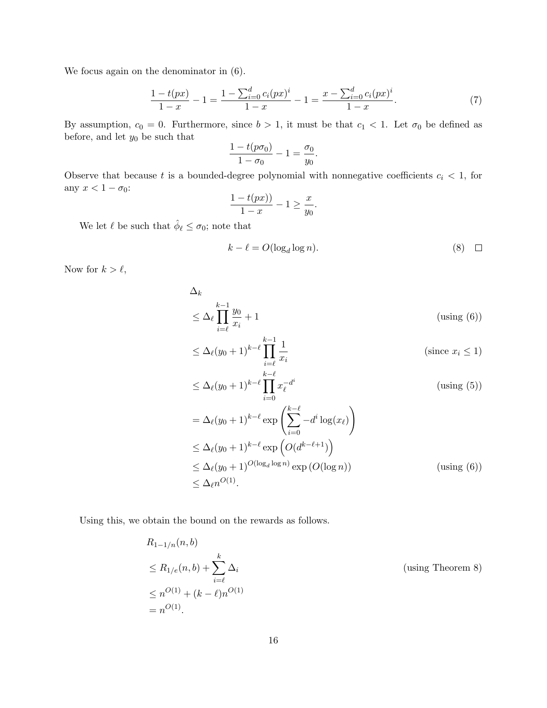We focus again on the denominator in (6).

$$
\frac{1 - t(px)}{1 - x} - 1 = \frac{1 - \sum_{i=0}^{d} c_i(px)^i}{1 - x} - 1 = \frac{x - \sum_{i=0}^{d} c_i(px)^i}{1 - x}.
$$
(7)

By assumption,  $c_0 = 0$ . Furthermore, since  $b > 1$ , it must be that  $c_1 < 1$ . Let  $\sigma_0$  be defined as before, and let  $y_0$  be such that

$$
\frac{1-t(p\sigma_0)}{1-\sigma_0}-1=\frac{\sigma_0}{y_0}.
$$

Observe that because t is a bounded-degree polynomial with nonnegative coefficients  $c_i < 1$ , for any  $x < 1 - \sigma_0$ :

$$
\frac{1-t(px))}{1-x} - 1 \ge \frac{x}{y_0}.
$$

We let  $\ell$  be such that  $\hat{\phi}_{\ell} \leq \sigma_0$ ; note that

$$
k - \ell = O(\log_d \log n). \tag{8} \quad \Box
$$

Now for  $k > \ell$ ,

$$
\Delta_k \le \Delta_\ell \prod_{i=\ell}^{k-1} \frac{y_0}{x_i} + 1 \tag{using (6)}
$$

$$
\leq \Delta_{\ell}(y_0+1)^{k-\ell} \prod_{i=\ell}^{k-1} \frac{1}{x_i}
$$
 (since  $x_i \leq 1$ )

$$
\leq \Delta_{\ell}(y_0+1)^{k-\ell} \prod_{i=0}^{k-\ell} x_{\ell}^{-d^i} \tag{using (5)}
$$

$$
= \Delta_{\ell}(y_0 + 1)^{k-\ell} \exp\left(\sum_{i=0}^{k-\ell} -d^i \log(x_{\ell})\right)
$$
  
\n
$$
\leq \Delta_{\ell}(y_0 + 1)^{k-\ell} \exp\left(O(d^{k-\ell+1})\right)
$$
  
\n
$$
\leq \Delta_{\ell}(y_0 + 1)^{O(\log_d \log n)} \exp(O(\log n))
$$
 (using (6))  
\n
$$
\leq \Delta_{\ell} n^{O(1)}.
$$

Using this, we obtain the bound on the rewards as follows.

$$
R_{1-1/n}(n, b)
$$
  
\n
$$
\leq R_{1/e}(n, b) + \sum_{i=\ell}^{k} \Delta_i
$$
 (using Theorem 8)  
\n
$$
\leq n^{O(1)} + (k - \ell)n^{O(1)}
$$
  
\n
$$
= n^{O(1)}.
$$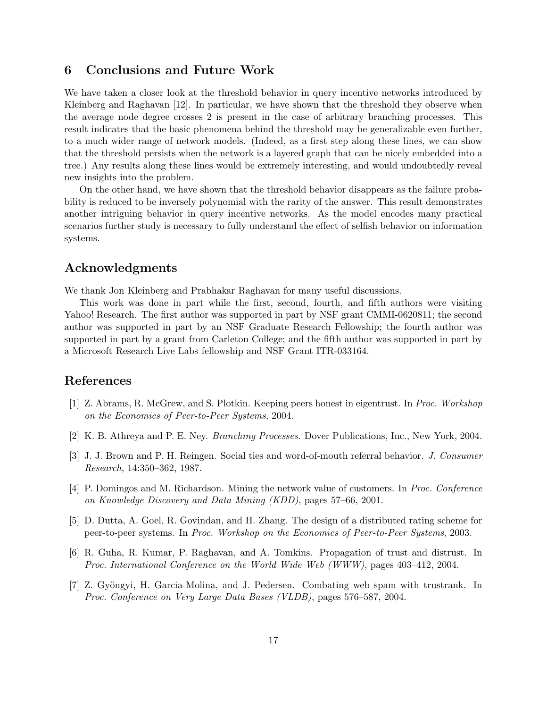### 6 Conclusions and Future Work

We have taken a closer look at the threshold behavior in query incentive networks introduced by Kleinberg and Raghavan [12]. In particular, we have shown that the threshold they observe when the average node degree crosses 2 is present in the case of arbitrary branching processes. This result indicates that the basic phenomena behind the threshold may be generalizable even further, to a much wider range of network models. (Indeed, as a first step along these lines, we can show that the threshold persists when the network is a layered graph that can be nicely embedded into a tree.) Any results along these lines would be extremely interesting, and would undoubtedly reveal new insights into the problem.

On the other hand, we have shown that the threshold behavior disappears as the failure probability is reduced to be inversely polynomial with the rarity of the answer. This result demonstrates another intriguing behavior in query incentive networks. As the model encodes many practical scenarios further study is necessary to fully understand the effect of selfish behavior on information systems.

#### Acknowledgments

We thank Jon Kleinberg and Prabhakar Raghavan for many useful discussions.

This work was done in part while the first, second, fourth, and fifth authors were visiting Yahoo! Research. The first author was supported in part by NSF grant CMMI-0620811; the second author was supported in part by an NSF Graduate Research Fellowship; the fourth author was supported in part by a grant from Carleton College; and the fifth author was supported in part by a Microsoft Research Live Labs fellowship and NSF Grant ITR-033164.

### References

- [1] Z. Abrams, R. McGrew, and S. Plotkin. Keeping peers honest in eigentrust. In Proc. Workshop on the Economics of Peer-to-Peer Systems, 2004.
- [2] K. B. Athreya and P. E. Ney. Branching Processes. Dover Publications, Inc., New York, 2004.
- [3] J. J. Brown and P. H. Reingen. Social ties and word-of-mouth referral behavior. J. Consumer Research, 14:350–362, 1987.
- [4] P. Domingos and M. Richardson. Mining the network value of customers. In Proc. Conference on Knowledge Discovery and Data Mining (KDD), pages 57–66, 2001.
- [5] D. Dutta, A. Goel, R. Govindan, and H. Zhang. The design of a distributed rating scheme for peer-to-peer systems. In Proc. Workshop on the Economics of Peer-to-Peer Systems, 2003.
- [6] R. Guha, R. Kumar, P. Raghavan, and A. Tomkins. Propagation of trust and distrust. In Proc. International Conference on the World Wide Web (WWW), pages 403–412, 2004.
- [7] Z. Gyöngyi, H. Garcia-Molina, and J. Pedersen. Combating web spam with trustrank. In Proc. Conference on Very Large Data Bases (VLDB), pages 576–587, 2004.